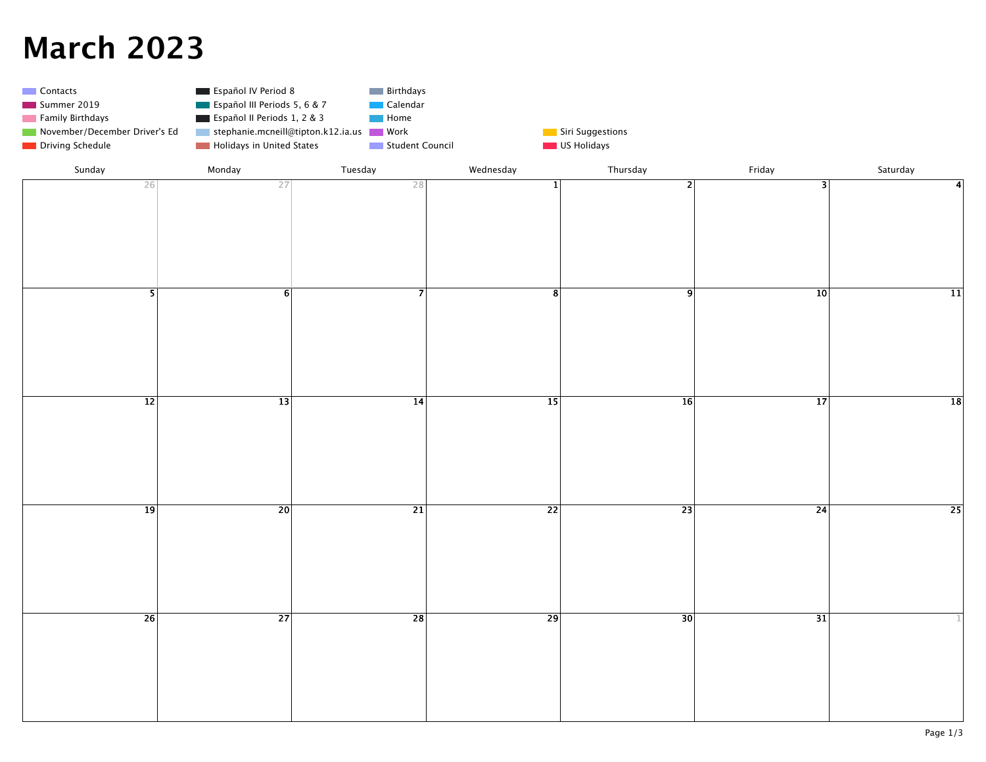## **March 2023**

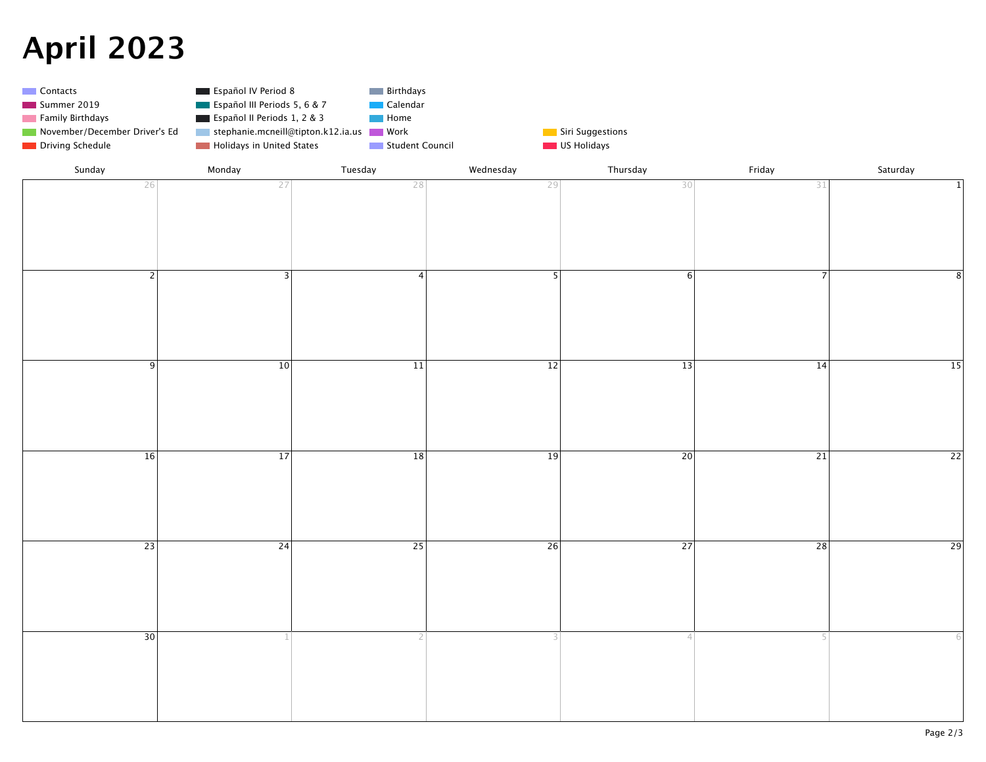## **April 2023**



| Sunday          | Monday          | Tuesday         | Wednesday       | Thursday        | Friday          | Saturday        |
|-----------------|-----------------|-----------------|-----------------|-----------------|-----------------|-----------------|
| 26              | 27              | 28              | 29              | 30              | 31              | $\mathbf 1$     |
|                 |                 |                 |                 |                 |                 |                 |
|                 |                 |                 |                 |                 |                 |                 |
|                 |                 |                 |                 |                 |                 |                 |
|                 |                 |                 |                 |                 |                 |                 |
| $\overline{2}$  |                 | $\overline{4}$  | $\overline{5}$  |                 | $\overline{7}$  |                 |
|                 | $\overline{3}$  |                 |                 | $\overline{6}$  |                 | 8               |
|                 |                 |                 |                 |                 |                 |                 |
|                 |                 |                 |                 |                 |                 |                 |
|                 |                 |                 |                 |                 |                 |                 |
|                 |                 |                 |                 |                 |                 |                 |
| $\overline{9}$  | $\overline{10}$ | $\overline{11}$ | $\overline{12}$ | $\overline{13}$ | $\overline{14}$ | $\overline{15}$ |
|                 |                 |                 |                 |                 |                 |                 |
|                 |                 |                 |                 |                 |                 |                 |
|                 |                 |                 |                 |                 |                 |                 |
|                 |                 |                 |                 |                 |                 |                 |
|                 |                 |                 |                 |                 |                 |                 |
| $\overline{16}$ | $\overline{17}$ | $\overline{18}$ | $\overline{19}$ | $\overline{20}$ | $\overline{21}$ | $\overline{22}$ |
|                 |                 |                 |                 |                 |                 |                 |
|                 |                 |                 |                 |                 |                 |                 |
|                 |                 |                 |                 |                 |                 |                 |
|                 |                 |                 |                 |                 |                 |                 |
| $\overline{23}$ | $\overline{24}$ | $\overline{25}$ | $\overline{26}$ | $\overline{27}$ | $\overline{28}$ | $\overline{29}$ |
|                 |                 |                 |                 |                 |                 |                 |
|                 |                 |                 |                 |                 |                 |                 |
|                 |                 |                 |                 |                 |                 |                 |
|                 |                 |                 |                 |                 |                 |                 |
|                 |                 |                 |                 |                 |                 |                 |
| $\overline{30}$ | $\mathbf{1}$    | 2 <sup>1</sup>  | 3 <sup>1</sup>  | 4               | 5               |                 |
|                 |                 |                 |                 |                 |                 |                 |
|                 |                 |                 |                 |                 |                 |                 |
|                 |                 |                 |                 |                 |                 |                 |
|                 |                 |                 |                 |                 |                 |                 |
|                 |                 |                 |                 |                 |                 |                 |